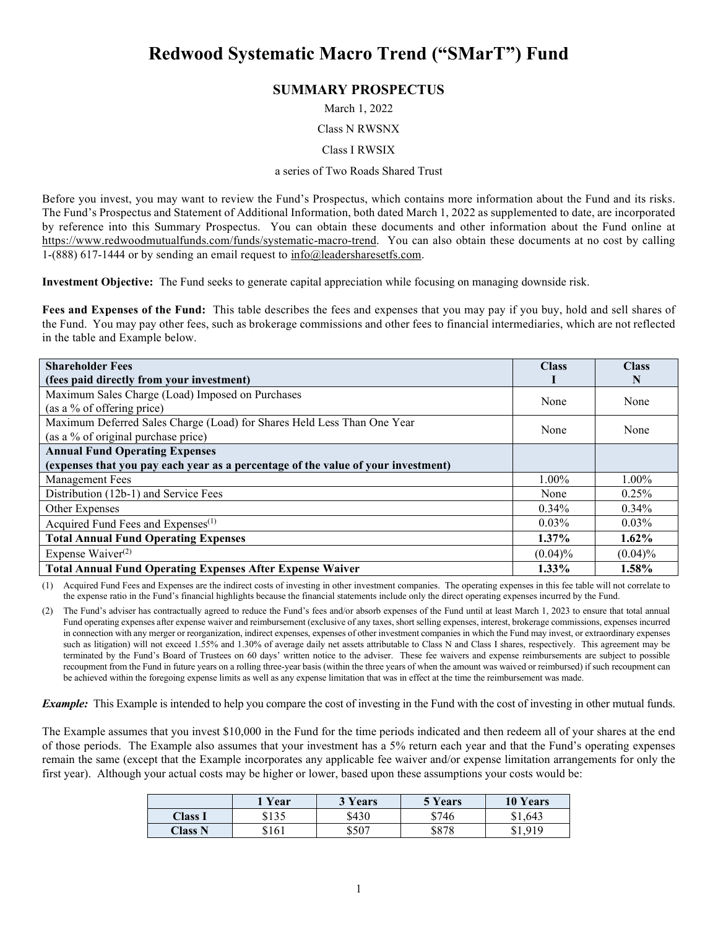# **Redwood Systematic Macro Trend ("SMarT") Fund**

# **SUMMARY PROSPECTUS**

March 1, 2022

#### Class N RWSNX

#### Class I RWSIX

#### a series of Two Roads Shared Trust

Before you invest, you may want to review the Fund's Prospectus, which contains more information about the Fund and its risks. The Fund's Prospectus and Statement of Additional Information, both dated March 1, 2022 as supplemented to date, are incorporated by reference into this Summary Prospectus. You can obtain these documents and other information about the Fund online at [https://www.redwoodmutualfunds.com/funds/systematic-macro-trend.](https://www.redwoodmutualfunds.com/funds/systematic-macro-trend) You can also obtain these documents at no cost by calling 1-(888) 617-1444 or by sending an email request to  $info@$  leadersharesetfs.com.

**Investment Objective:** The Fund seeks to generate capital appreciation while focusing on managing downside risk.

**Fees and Expenses of the Fund:** This table describes the fees and expenses that you may pay if you buy, hold and sell shares of the Fund. You may pay other fees, such as brokerage commissions and other fees to financial intermediaries, which are not reflected in the table and Example below.

| <b>Shareholder Fees</b>                                                           | <b>Class</b> | <b>Class</b> |
|-----------------------------------------------------------------------------------|--------------|--------------|
| (fees paid directly from your investment)                                         |              | N            |
| Maximum Sales Charge (Load) Imposed on Purchases                                  | None         | None         |
| (as a % of offering price)                                                        |              |              |
| Maximum Deferred Sales Charge (Load) for Shares Held Less Than One Year           | None         | None         |
| (as a % of original purchase price)                                               |              |              |
| <b>Annual Fund Operating Expenses</b>                                             |              |              |
| (expenses that you pay each year as a percentage of the value of your investment) |              |              |
| <b>Management Fees</b>                                                            | 1.00%        | $1.00\%$     |
| Distribution (12b-1) and Service Fees                                             | None         | 0.25%        |
| Other Expenses                                                                    | $0.34\%$     | $0.34\%$     |
| Acquired Fund Fees and Expenses <sup>(1)</sup>                                    | $0.03\%$     | $0.03\%$     |
| <b>Total Annual Fund Operating Expenses</b>                                       | $1.37\%$     | $1.62\%$     |
| Expense Waiver $(2)$                                                              | $(0.04)\%$   | $(0.04)\%$   |
| <b>Total Annual Fund Operating Expenses After Expense Waiver</b>                  | $1.33\%$     | 1.58%        |

(1) Acquired Fund Fees and Expenses are the indirect costs of investing in other investment companies. The operating expenses in this fee table will not correlate to the expense ratio in the Fund's financial highlights because the financial statements include only the direct operating expenses incurred by the Fund.

(2) The Fund's adviser has contractually agreed to reduce the Fund's fees and/or absorb expenses of the Fund until at least March 1, 2023 to ensure that total annual Fund operating expenses after expense waiver and reimbursement (exclusive of any taxes, short selling expenses, interest, brokerage commissions, expenses incurred in connection with any merger or reorganization, indirect expenses, expenses of other investment companies in which the Fund may invest, or extraordinary expenses such as litigation) will not exceed 1.55% and 1.30% of average daily net assets attributable to Class N and Class I shares, respectively. This agreement may be terminated by the Fund's Board of Trustees on 60 days' written notice to the adviser. These fee waivers and expense reimbursements are subject to possible recoupment from the Fund in future years on a rolling three-year basis (within the three years of when the amount was waived or reimbursed) if such recoupment can be achieved within the foregoing expense limits as well as any expense limitation that was in effect at the time the reimbursement was made.

*Example:* This Example is intended to help you compare the cost of investing in the Fund with the cost of investing in other mutual funds.

The Example assumes that you invest \$10,000 in the Fund for the time periods indicated and then redeem all of your shares at the end of those periods. The Example also assumes that your investment has a 5% return each year and that the Fund's operating expenses remain the same (except that the Example incorporates any applicable fee waiver and/or expense limitation arrangements for only the first year). Although your actual costs may be higher or lower, based upon these assumptions your costs would be:

|                | 1 Year | 3 Years | 5 Years | <b>10 Years</b> |
|----------------|--------|---------|---------|-----------------|
| Class I        | \$135  | \$430   | \$746   | \$1,643         |
| <b>Class N</b> | \$161  | \$507   | \$878   | \$1,919<br>ふし、ソ |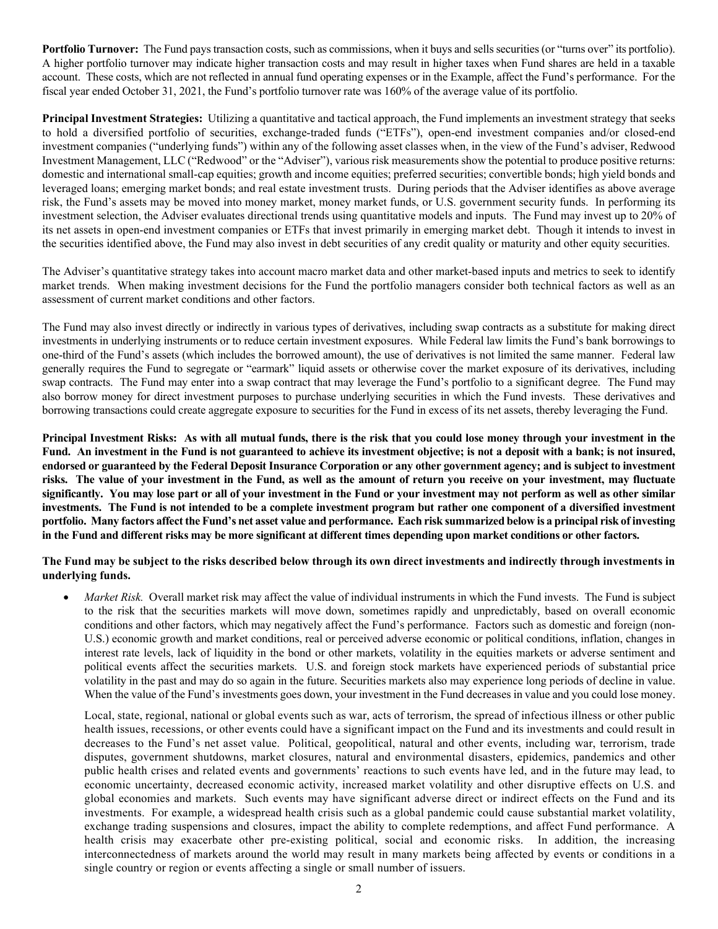**Portfolio Turnover:** The Fund pays transaction costs, such as commissions, when it buys and sells securities (or "turns over" its portfolio). A higher portfolio turnover may indicate higher transaction costs and may result in higher taxes when Fund shares are held in a taxable account. These costs, which are not reflected in annual fund operating expenses or in the Example, affect the Fund's performance. For the fiscal year ended October 31, 2021, the Fund's portfolio turnover rate was 160% of the average value of its portfolio.

**Principal Investment Strategies:** Utilizing a quantitative and tactical approach, the Fund implements an investment strategy that seeks to hold a diversified portfolio of securities, exchange-traded funds ("ETFs"), open-end investment companies and/or closed-end investment companies ("underlying funds") within any of the following asset classes when, in the view of the Fund's adviser, Redwood Investment Management, LLC ("Redwood" or the "Adviser"), various risk measurements show the potential to produce positive returns: domestic and international small-cap equities; growth and income equities; preferred securities; convertible bonds; high yield bonds and leveraged loans; emerging market bonds; and real estate investment trusts. During periods that the Adviser identifies as above average risk, the Fund's assets may be moved into money market, money market funds, or U.S. government security funds. In performing its investment selection, the Adviser evaluates directional trends using quantitative models and inputs. The Fund may invest up to 20% of its net assets in open-end investment companies or ETFs that invest primarily in emerging market debt. Though it intends to invest in the securities identified above, the Fund may also invest in debt securities of any credit quality or maturity and other equity securities.

The Adviser's quantitative strategy takes into account macro market data and other market-based inputs and metrics to seek to identify market trends. When making investment decisions for the Fund the portfolio managers consider both technical factors as well as an assessment of current market conditions and other factors.

The Fund may also invest directly or indirectly in various types of derivatives, including swap contracts as a substitute for making direct investments in underlying instruments or to reduce certain investment exposures. While Federal law limits the Fund's bank borrowings to one-third of the Fund's assets (which includes the borrowed amount), the use of derivatives is not limited the same manner. Federal law generally requires the Fund to segregate or "earmark" liquid assets or otherwise cover the market exposure of its derivatives, including swap contracts. The Fund may enter into a swap contract that may leverage the Fund's portfolio to a significant degree. The Fund may also borrow money for direct investment purposes to purchase underlying securities in which the Fund invests. These derivatives and borrowing transactions could create aggregate exposure to securities for the Fund in excess of its net assets, thereby leveraging the Fund.

**Principal Investment Risks: As with all mutual funds, there is the risk that you could lose money through your investment in the Fund. An investment in the Fund is not guaranteed to achieve its investment objective; is not a deposit with a bank; is not insured, endorsed or guaranteed by the Federal Deposit Insurance Corporation or any other government agency; and is subject to investment risks. The value of your investment in the Fund, as well as the amount of return you receive on your investment, may fluctuate significantly. You may lose part or all of your investment in the Fund or your investment may not perform as well as other similar investments. The Fund is not intended to be a complete investment program but rather one component of a diversified investment portfolio. Many factors affect the Fund's net asset value and performance. Each risk summarized below is a principal risk of investing in the Fund and different risks may be more significant at different times depending upon market conditions or other factors.**

**The Fund may be subject to the risks described below through its own direct investments and indirectly through investments in underlying funds.**

*Market Risk.* Overall market risk may affect the value of individual instruments in which the Fund invests. The Fund is subject to the risk that the securities markets will move down, sometimes rapidly and unpredictably, based on overall economic conditions and other factors, which may negatively affect the Fund's performance. Factors such as domestic and foreign (non-U.S.) economic growth and market conditions, real or perceived adverse economic or political conditions, inflation, changes in interest rate levels, lack of liquidity in the bond or other markets, volatility in the equities markets or adverse sentiment and political events affect the securities markets. U.S. and foreign stock markets have experienced periods of substantial price volatility in the past and may do so again in the future. Securities markets also may experience long periods of decline in value. When the value of the Fund's investments goes down, your investment in the Fund decreases in value and you could lose money.

Local, state, regional, national or global events such as war, acts of terrorism, the spread of infectious illness or other public health issues, recessions, or other events could have a significant impact on the Fund and its investments and could result in decreases to the Fund's net asset value. Political, geopolitical, natural and other events, including war, terrorism, trade disputes, government shutdowns, market closures, natural and environmental disasters, epidemics, pandemics and other public health crises and related events and governments' reactions to such events have led, and in the future may lead, to economic uncertainty, decreased economic activity, increased market volatility and other disruptive effects on U.S. and global economies and markets. Such events may have significant adverse direct or indirect effects on the Fund and its investments. For example, a widespread health crisis such as a global pandemic could cause substantial market volatility, exchange trading suspensions and closures, impact the ability to complete redemptions, and affect Fund performance. A health crisis may exacerbate other pre-existing political, social and economic risks. In addition, the increasing interconnectedness of markets around the world may result in many markets being affected by events or conditions in a single country or region or events affecting a single or small number of issuers.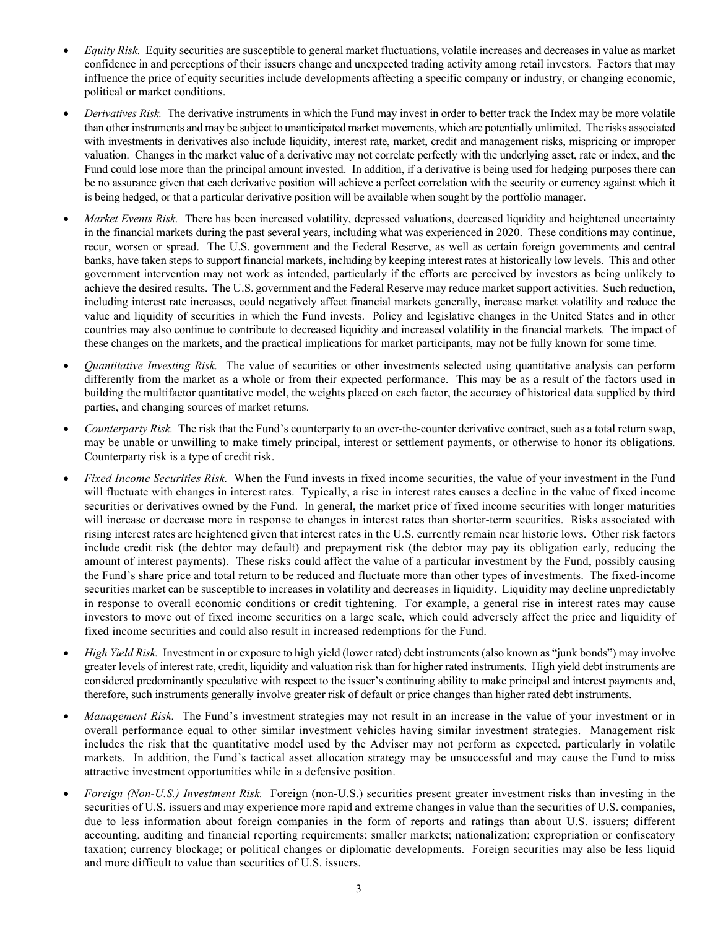- *Equity Risk.* Equity securities are susceptible to general market fluctuations, volatile increases and decreases in value as market confidence in and perceptions of their issuers change and unexpected trading activity among retail investors. Factors that may influence the price of equity securities include developments affecting a specific company or industry, or changing economic, political or market conditions.
- *Derivatives Risk.* The derivative instruments in which the Fund may invest in order to better track the Index may be more volatile than other instruments and may be subject to unanticipated market movements, which are potentially unlimited. The risks associated with investments in derivatives also include liquidity, interest rate, market, credit and management risks, mispricing or improper valuation. Changes in the market value of a derivative may not correlate perfectly with the underlying asset, rate or index, and the Fund could lose more than the principal amount invested. In addition, if a derivative is being used for hedging purposes there can be no assurance given that each derivative position will achieve a perfect correlation with the security or currency against which it is being hedged, or that a particular derivative position will be available when sought by the portfolio manager.
- Market Events Risk. There has been increased volatility, depressed valuations, decreased liquidity and heightened uncertainty in the financial markets during the past several years, including what was experienced in 2020. These conditions may continue, recur, worsen or spread. The U.S. government and the Federal Reserve, as well as certain foreign governments and central banks, have taken steps to support financial markets, including by keeping interest rates at historically low levels. This and other government intervention may not work as intended, particularly if the efforts are perceived by investors as being unlikely to achieve the desired results. The U.S. government and the Federal Reserve may reduce market support activities. Such reduction, including interest rate increases, could negatively affect financial markets generally, increase market volatility and reduce the value and liquidity of securities in which the Fund invests. Policy and legislative changes in the United States and in other countries may also continue to contribute to decreased liquidity and increased volatility in the financial markets. The impact of these changes on the markets, and the practical implications for market participants, may not be fully known for some time.
- *Quantitative Investing Risk.* The value of securities or other investments selected using quantitative analysis can perform differently from the market as a whole or from their expected performance. This may be as a result of the factors used in building the multifactor quantitative model, the weights placed on each factor, the accuracy of historical data supplied by third parties, and changing sources of market returns.
- *Counterparty Risk.* The risk that the Fund's counterparty to an over-the-counter derivative contract, such as a total return swap, may be unable or unwilling to make timely principal, interest or settlement payments, or otherwise to honor its obligations. Counterparty risk is a type of credit risk.
- *Fixed Income Securities Risk.* When the Fund invests in fixed income securities, the value of your investment in the Fund will fluctuate with changes in interest rates. Typically, a rise in interest rates causes a decline in the value of fixed income securities or derivatives owned by the Fund. In general, the market price of fixed income securities with longer maturities will increase or decrease more in response to changes in interest rates than shorter-term securities. Risks associated with rising interest rates are heightened given that interest rates in the U.S. currently remain near historic lows. Other risk factors include credit risk (the debtor may default) and prepayment risk (the debtor may pay its obligation early, reducing the amount of interest payments). These risks could affect the value of a particular investment by the Fund, possibly causing the Fund's share price and total return to be reduced and fluctuate more than other types of investments. The fixed-income securities market can be susceptible to increases in volatility and decreases in liquidity. Liquidity may decline unpredictably in response to overall economic conditions or credit tightening. For example, a general rise in interest rates may cause investors to move out of fixed income securities on a large scale, which could adversely affect the price and liquidity of fixed income securities and could also result in increased redemptions for the Fund.
- *High Yield Risk.* Investment in or exposure to high yield (lower rated) debt instruments (also known as "junk bonds") may involve greater levels of interest rate, credit, liquidity and valuation risk than for higher rated instruments. High yield debt instruments are considered predominantly speculative with respect to the issuer's continuing ability to make principal and interest payments and, therefore, such instruments generally involve greater risk of default or price changes than higher rated debt instruments.
- *Management Risk.* The Fund's investment strategies may not result in an increase in the value of your investment or in overall performance equal to other similar investment vehicles having similar investment strategies. Management risk includes the risk that the quantitative model used by the Adviser may not perform as expected, particularly in volatile markets. In addition, the Fund's tactical asset allocation strategy may be unsuccessful and may cause the Fund to miss attractive investment opportunities while in a defensive position.
- *Foreign (Non-U.S.) Investment Risk.* Foreign (non-U.S.) securities present greater investment risks than investing in the securities of U.S. issuers and may experience more rapid and extreme changes in value than the securities of U.S. companies, due to less information about foreign companies in the form of reports and ratings than about U.S. issuers; different accounting, auditing and financial reporting requirements; smaller markets; nationalization; expropriation or confiscatory taxation; currency blockage; or political changes or diplomatic developments. Foreign securities may also be less liquid and more difficult to value than securities of U.S. issuers.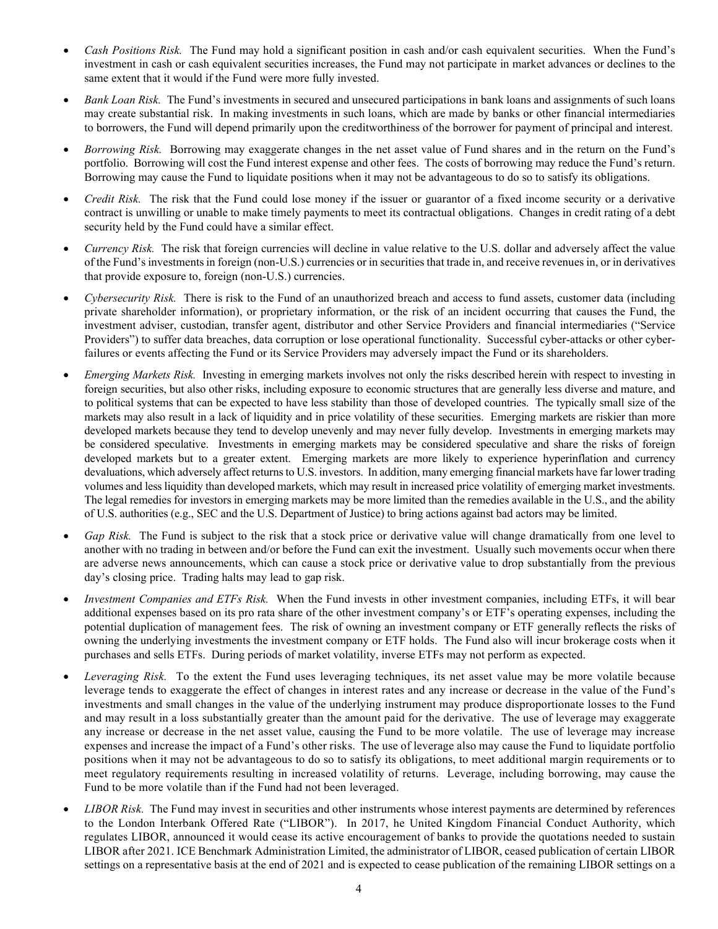- *Cash Positions Risk.* The Fund may hold a significant position in cash and/or cash equivalent securities. When the Fund's investment in cash or cash equivalent securities increases, the Fund may not participate in market advances or declines to the same extent that it would if the Fund were more fully invested.
- *Bank Loan Risk.* The Fund's investments in secured and unsecured participations in bank loans and assignments of such loans may create substantial risk. In making investments in such loans, which are made by banks or other financial intermediaries to borrowers, the Fund will depend primarily upon the creditworthiness of the borrower for payment of principal and interest.
- *Borrowing Risk.* Borrowing may exaggerate changes in the net asset value of Fund shares and in the return on the Fund's portfolio. Borrowing will cost the Fund interest expense and other fees. The costs of borrowing may reduce the Fund's return. Borrowing may cause the Fund to liquidate positions when it may not be advantageous to do so to satisfy its obligations.
- *Credit Risk.* The risk that the Fund could lose money if the issuer or guarantor of a fixed income security or a derivative contract is unwilling or unable to make timely payments to meet its contractual obligations. Changes in credit rating of a debt security held by the Fund could have a similar effect.
- *Currency Risk.* The risk that foreign currencies will decline in value relative to the U.S. dollar and adversely affect the value of the Fund's investments in foreign (non-U.S.) currencies or in securities that trade in, and receive revenues in, or in derivatives that provide exposure to, foreign (non-U.S.) currencies.
- *Cybersecurity Risk.* There is risk to the Fund of an unauthorized breach and access to fund assets, customer data (including private shareholder information), or proprietary information, or the risk of an incident occurring that causes the Fund, the investment adviser, custodian, transfer agent, distributor and other Service Providers and financial intermediaries ("Service Providers") to suffer data breaches, data corruption or lose operational functionality. Successful cyber-attacks or other cyberfailures or events affecting the Fund or its Service Providers may adversely impact the Fund or its shareholders.
- *Emerging Markets Risk.* Investing in emerging markets involves not only the risks described herein with respect to investing in foreign securities, but also other risks, including exposure to economic structures that are generally less diverse and mature, and to political systems that can be expected to have less stability than those of developed countries. The typically small size of the markets may also result in a lack of liquidity and in price volatility of these securities. Emerging markets are riskier than more developed markets because they tend to develop unevenly and may never fully develop. Investments in emerging markets may be considered speculative. Investments in emerging markets may be considered speculative and share the risks of foreign developed markets but to a greater extent. Emerging markets are more likely to experience hyperinflation and currency devaluations, which adversely affect returns to U.S. investors. In addition, many emerging financial markets have far lower trading volumes and less liquidity than developed markets, which may result in increased price volatility of emerging market investments. The legal remedies for investors in emerging markets may be more limited than the remedies available in the U.S., and the ability of U.S. authorities (e.g., SEC and the U.S. Department of Justice) to bring actions against bad actors may be limited.
- *Gap Risk.* The Fund is subject to the risk that a stock price or derivative value will change dramatically from one level to another with no trading in between and/or before the Fund can exit the investment. Usually such movements occur when there are adverse news announcements, which can cause a stock price or derivative value to drop substantially from the previous day's closing price. Trading halts may lead to gap risk.
- *Investment Companies and ETFs Risk.* When the Fund invests in other investment companies, including ETFs, it will bear additional expenses based on its pro rata share of the other investment company's or ETF's operating expenses, including the potential duplication of management fees. The risk of owning an investment company or ETF generally reflects the risks of owning the underlying investments the investment company or ETF holds. The Fund also will incur brokerage costs when it purchases and sells ETFs. During periods of market volatility, inverse ETFs may not perform as expected.
- Leveraging Risk. To the extent the Fund uses leveraging techniques, its net asset value may be more volatile because leverage tends to exaggerate the effect of changes in interest rates and any increase or decrease in the value of the Fund's investments and small changes in the value of the underlying instrument may produce disproportionate losses to the Fund and may result in a loss substantially greater than the amount paid for the derivative. The use of leverage may exaggerate any increase or decrease in the net asset value, causing the Fund to be more volatile. The use of leverage may increase expenses and increase the impact of a Fund's other risks. The use of leverage also may cause the Fund to liquidate portfolio positions when it may not be advantageous to do so to satisfy its obligations, to meet additional margin requirements or to meet regulatory requirements resulting in increased volatility of returns. Leverage, including borrowing, may cause the Fund to be more volatile than if the Fund had not been leveraged.
- *LIBOR Risk.* The Fund may invest in securities and other instruments whose interest payments are determined by references to the London Interbank Offered Rate ("LIBOR"). In 2017, he United Kingdom Financial Conduct Authority, which regulates LIBOR, announced it would cease its active encouragement of banks to provide the quotations needed to sustain LIBOR after 2021. ICE Benchmark Administration Limited, the administrator of LIBOR, ceased publication of certain LIBOR settings on a representative basis at the end of 2021 and is expected to cease publication of the remaining LIBOR settings on a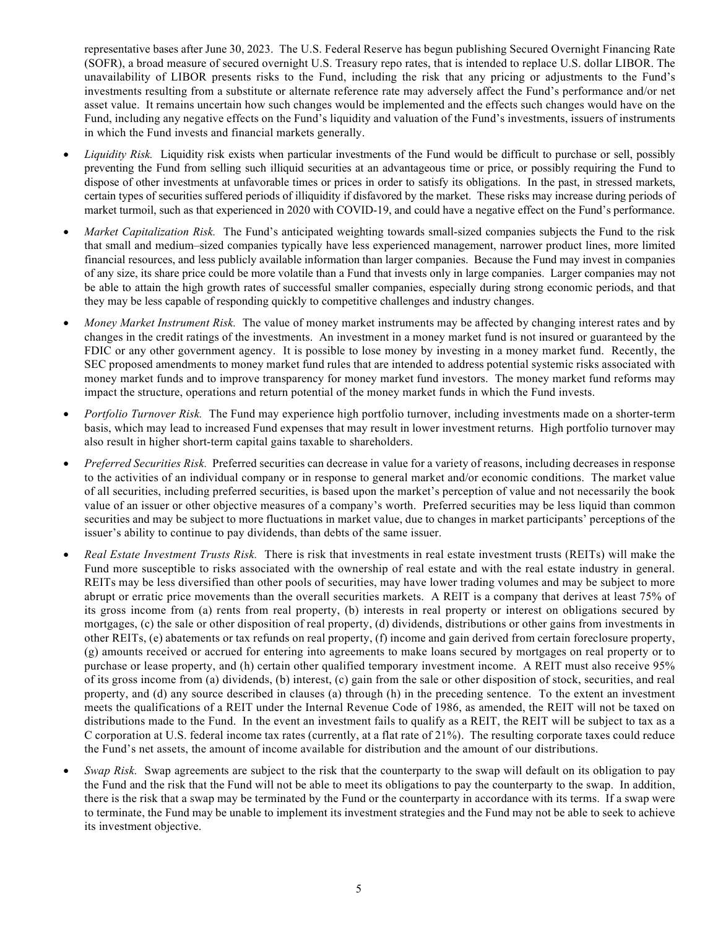representative bases after June 30, 2023. The U.S. Federal Reserve has begun publishing Secured Overnight Financing Rate (SOFR), a broad measure of secured overnight U.S. Treasury repo rates, that is intended to replace U.S. dollar LIBOR. The unavailability of LIBOR presents risks to the Fund, including the risk that any pricing or adjustments to the Fund's investments resulting from a substitute or alternate reference rate may adversely affect the Fund's performance and/or net asset value. It remains uncertain how such changes would be implemented and the effects such changes would have on the Fund, including any negative effects on the Fund's liquidity and valuation of the Fund's investments, issuers of instruments in which the Fund invests and financial markets generally.

- *Liquidity Risk.* Liquidity risk exists when particular investments of the Fund would be difficult to purchase or sell, possibly preventing the Fund from selling such illiquid securities at an advantageous time or price, or possibly requiring the Fund to dispose of other investments at unfavorable times or prices in order to satisfy its obligations. In the past, in stressed markets, certain types of securities suffered periods of illiquidity if disfavored by the market. These risks may increase during periods of market turmoil, such as that experienced in 2020 with COVID-19, and could have a negative effect on the Fund's performance.
- *Market Capitalization Risk.* The Fund's anticipated weighting towards small-sized companies subjects the Fund to the risk that small and medium–sized companies typically have less experienced management, narrower product lines, more limited financial resources, and less publicly available information than larger companies. Because the Fund may invest in companies of any size, its share price could be more volatile than a Fund that invests only in large companies. Larger companies may not be able to attain the high growth rates of successful smaller companies, especially during strong economic periods, and that they may be less capable of responding quickly to competitive challenges and industry changes.
- *Money Market Instrument Risk.* The value of money market instruments may be affected by changing interest rates and by changes in the credit ratings of the investments. An investment in a money market fund is not insured or guaranteed by the FDIC or any other government agency. It is possible to lose money by investing in a money market fund. Recently, the SEC proposed amendments to money market fund rules that are intended to address potential systemic risks associated with money market funds and to improve transparency for money market fund investors. The money market fund reforms may impact the structure, operations and return potential of the money market funds in which the Fund invests.
- *Portfolio Turnover Risk.* The Fund may experience high portfolio turnover, including investments made on a shorter-term basis, which may lead to increased Fund expenses that may result in lower investment returns. High portfolio turnover may also result in higher short-term capital gains taxable to shareholders.
- *Preferred Securities Risk.* Preferred securities can decrease in value for a variety of reasons, including decreases in response to the activities of an individual company or in response to general market and/or economic conditions. The market value of all securities, including preferred securities, is based upon the market's perception of value and not necessarily the book value of an issuer or other objective measures of a company's worth. Preferred securities may be less liquid than common securities and may be subject to more fluctuations in market value, due to changes in market participants' perceptions of the issuer's ability to continue to pay dividends, than debts of the same issuer.
- *Real Estate Investment Trusts Risk.* There is risk that investments in real estate investment trusts (REITs) will make the Fund more susceptible to risks associated with the ownership of real estate and with the real estate industry in general. REITs may be less diversified than other pools of securities, may have lower trading volumes and may be subject to more abrupt or erratic price movements than the overall securities markets. A REIT is a company that derives at least 75% of its gross income from (a) rents from real property, (b) interests in real property or interest on obligations secured by mortgages, (c) the sale or other disposition of real property, (d) dividends, distributions or other gains from investments in other REITs, (e) abatements or tax refunds on real property, (f) income and gain derived from certain foreclosure property, (g) amounts received or accrued for entering into agreements to make loans secured by mortgages on real property or to purchase or lease property, and (h) certain other qualified temporary investment income. A REIT must also receive 95% of its gross income from (a) dividends, (b) interest, (c) gain from the sale or other disposition of stock, securities, and real property, and (d) any source described in clauses (a) through (h) in the preceding sentence. To the extent an investment meets the qualifications of a REIT under the Internal Revenue Code of 1986, as amended, the REIT will not be taxed on distributions made to the Fund. In the event an investment fails to qualify as a REIT, the REIT will be subject to tax as a C corporation at U.S. federal income tax rates (currently, at a flat rate of 21%). The resulting corporate taxes could reduce the Fund's net assets, the amount of income available for distribution and the amount of our distributions.
- *Swap Risk.* Swap agreements are subject to the risk that the counterparty to the swap will default on its obligation to pay the Fund and the risk that the Fund will not be able to meet its obligations to pay the counterparty to the swap. In addition, there is the risk that a swap may be terminated by the Fund or the counterparty in accordance with its terms. If a swap were to terminate, the Fund may be unable to implement its investment strategies and the Fund may not be able to seek to achieve its investment objective.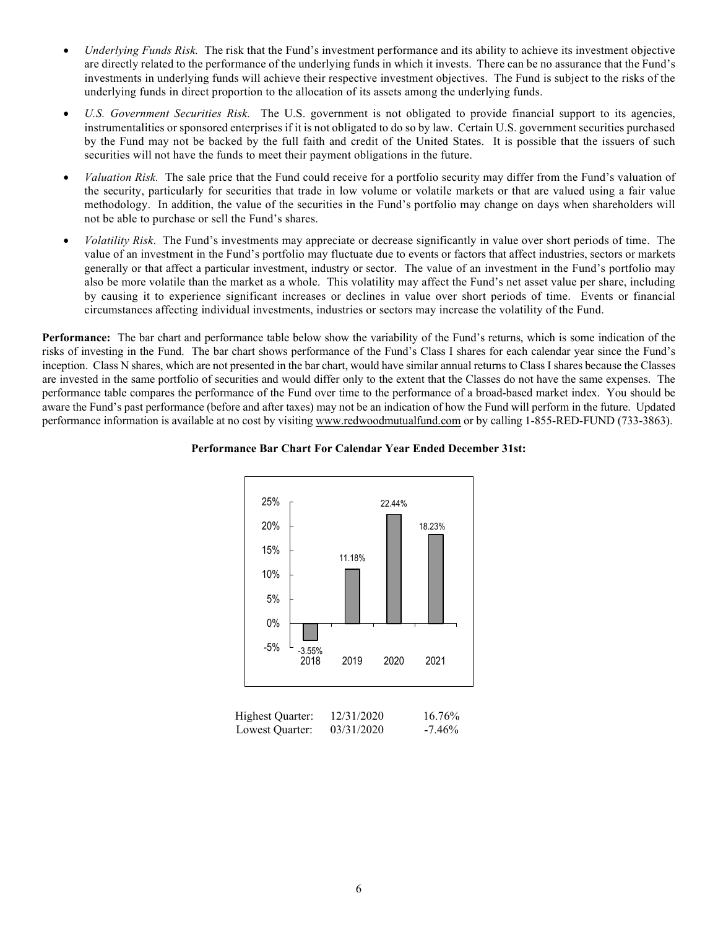- *Underlying Funds Risk.* The risk that the Fund's investment performance and its ability to achieve its investment objective are directly related to the performance of the underlying funds in which it invests. There can be no assurance that the Fund's investments in underlying funds will achieve their respective investment objectives. The Fund is subject to the risks of the underlying funds in direct proportion to the allocation of its assets among the underlying funds.
- *U.S. Government Securities Risk.* The U.S. government is not obligated to provide financial support to its agencies, instrumentalities or sponsored enterprises if it is not obligated to do so by law. Certain U.S. government securities purchased by the Fund may not be backed by the full faith and credit of the United States. It is possible that the issuers of such securities will not have the funds to meet their payment obligations in the future.
- *Valuation Risk.* The sale price that the Fund could receive for a portfolio security may differ from the Fund's valuation of the security, particularly for securities that trade in low volume or volatile markets or that are valued using a fair value methodology. In addition, the value of the securities in the Fund's portfolio may change on days when shareholders will not be able to purchase or sell the Fund's shares.
- *Volatility Risk*. The Fund's investments may appreciate or decrease significantly in value over short periods of time. The value of an investment in the Fund's portfolio may fluctuate due to events or factors that affect industries, sectors or markets generally or that affect a particular investment, industry or sector. The value of an investment in the Fund's portfolio may also be more volatile than the market as a whole. This volatility may affect the Fund's net asset value per share, including by causing it to experience significant increases or declines in value over short periods of time. Events or financial circumstances affecting individual investments, industries or sectors may increase the volatility of the Fund.

**Performance:** The bar chart and performance table below show the variability of the Fund's returns, which is some indication of the risks of investing in the Fund. The bar chart shows performance of the Fund's Class I shares for each calendar year since the Fund's inception. Class N shares, which are not presented in the bar chart, would have similar annual returns to Class I shares because the Classes are invested in the same portfolio of securities and would differ only to the extent that the Classes do not have the same expenses. The performance table compares the performance of the Fund over time to the performance of a broad-based market index. You should be aware the Fund's past performance (before and after taxes) may not be an indication of how the Fund will perform in the future. Updated performance information is available at no cost by visiting [www.redwoodmutualfund.com](http://www.redwoodmutualfund.com/) or by calling 1-855-RED-FUND (733-3863).



### **Performance Bar Chart For Calendar Year Ended December 31st:**

| Highest Quarter: | 12/31/2020 | 16.76%    |
|------------------|------------|-----------|
| Lowest Quarter:  | 03/31/2020 | $-7.46\%$ |